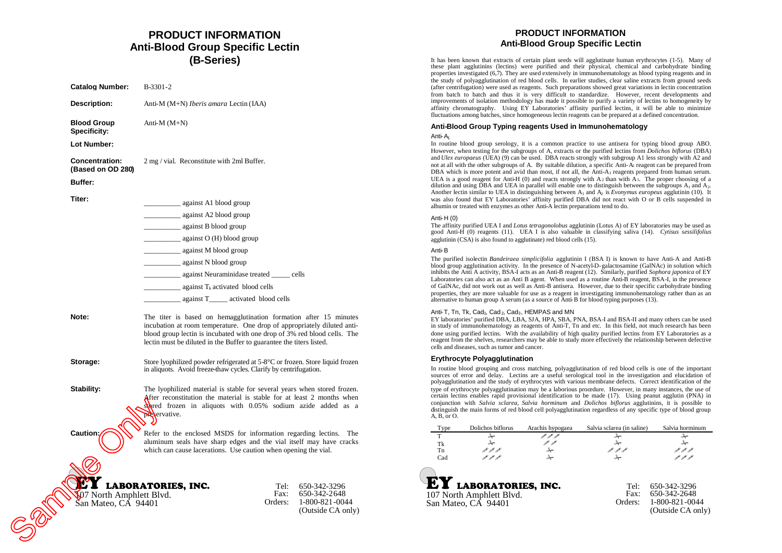## **PRODUCT INFORMATION Anti-Blood Group Specific Lectin (B-Series)**

**Catalog Number:** B-3301-2 **Description:** Anti-M (M+N) *Iberis amara* Lectin (IAA) **Blood Group Specificity:** Anti-M (M+N) **Lot Number: Concentration: (Based on OD 280)** 2 mg / vial. Reconstitute with 2ml Buffer. **Buffer: Titer:** against A1 blood group \_\_\_\_\_\_\_\_\_\_ against A2 blood group \_\_\_\_\_\_\_\_\_\_ against B blood group  $against O (H) blood group$ \_\_\_\_\_\_\_\_\_\_ against M blood group \_\_\_\_\_\_\_\_\_\_ against N blood group \_\_\_\_\_\_\_\_\_\_ against Neuraminidase treated \_\_\_\_\_ cells against  $T_k$  activated blood cells \_\_\_\_\_\_\_\_\_\_ against T\_\_\_\_\_ activated blood cells

**Note:** The titer is based on hemagglutination formation after 15 minutes incubation at room temperature. One drop of appropriately diluted antiblood group lectin is incubated with one drop of 3% red blood cells. The lectin must be diluted in the Buffer to guarantee the titers listed.

**Storage:** Store lyophilized powder refrigerated at 5-8°C or frozen. Store liquid frozen in aliquots. Avoid freeze-thaw cycles. Clarify by centrifugation.

**Stability:** The lyophilized material is stable for several years when stored frozen. After reconstitution the material is stable for at least 2 months when **stored** frozen in aliquots with 0.05% sodium azide added as a Servative. Caution: Caution: Caution: Refer<br>
LABORATOI

**Caution:** Refer to the enclosed MSDS for information regarding lectins. The aluminum seals have sharp edges and the vial itself may have cracks which can cause lacerations. Use caution when opening the vial.

## LABORATORIES, INC.

107 North Amphlett Blvd. San Mateo, CA 94401

#### Tel: 650-342-3296 Fax: Orders: 650-342-2648 1-800-821-0044 (Outside CA only)

## **PRODUCT INFORMATION Anti-Blood Group Specific Lectin**

It has been known that extracts of certain plant seeds will agglutinate human erythrocytes (1-5). Many of these plant agglutinins (lectins) were purified and their physical, chemical and carbohydrate binding properties investigated (6,7). They are used extensively in immunohematology as blood typing reagents and in the study of polyagglutination of red blood cells. In earlier studies, clear saline extracts from ground seeds (after centrifugation) were used as reagents. Such preparations showed great variations in lectin concentration from batch to batch and thus it is very difficult to standardize. However, recent developments and improvements of isolation methodology has made it possible to purify a variety of lectins to homogeneity by affinity chromatography. Using EY Laboratories' affinity purified lectins, it will be able to minimize fluctuations among batches, since homogeneous lectin reagents can be prepared at a defined concentration.

### **Anti-Blood Group Typing reagents Used in Immunohematology**

### Anti-A<sup>1</sup>

In routine blood group serology, it is a common practice to use antisera for typing blood group ABO. However, when testing for the subgroups of A, extracts or the purified lectins from *Dolichos biflorus* (DBA) and *Ulex europaeus* (UEA) (9) can be used. DBA reacts strongly with subgroup A1 less strongly with A2 and not at all with the other subgroups of A. By suitable dilution, a specific Anti-A<sup>1</sup> reagent can be prepared from DBA which is more potent and avid than most, if not all, the Anti-A<sub>1</sub> reagents prepared from human serum. UEA is a good reagent for Anti-H  $(0)$  and reacts strongly with A<sub>2</sub> than with A<sub>1</sub>. The proper choosing of a dilution and using DBA and UEA in parallel will enable one to distinguish between the subgroups  $A_1$  and  $A_2$ . Another lectin similar to UEA in distinguishing between A<sub>1</sub> and A<sub>2</sub> is *Evonymus europeus* agglutinin (10). It was also found that EY Laboratories' affinity purified DBA did not react with O or B cells suspended in albumin or treated with enzymes as other Anti-A lectin preparations tend to do.

### Anti-H (0)

The affinity purified UEA I and *Lotus tetragonolobus* agglutinin (Lotus A) of EY laboratories may be used as good Anti-H (0) reagents (11). UEA I is also valuable in classifying saliva (14). *Cytisus sessilifolius* agglutinin (CSA) is also found to agglutinate) red blood cells (15).

### Anti-B

The purified isolectin *Bandeiraea simplicifolia* agglutinin I (BSA I) is known to have Anti-A and Anti-B blood group agglutination activity. In the presence of N-acetyl-D-galactosamine (GalNAc) in solution which inhibits the Anti A activity, BSA-I acts as an Anti-B reagent (12). Similarly, purified *Sophora japonica* of EY Laboratories can also act as an Anti B agent. When used as a routine Anti-B reagent, BSA-I, in the presence of GalNAc, did not work out as well as Anti-B antisera. However, due to their specific carbohydrate binding properties, they are more valuable for use as a reagent in investigating immunohematology rather than as an alternative to human group A serum (as a source of Anti-B for blood typing purposes (13).

### Anti-T, Tn, Tk, Cad<sub>1</sub>, Cad<sub>2</sub>, Cad<sub>3</sub>, HEMPAS and MN

EY laboratories'purified DBA, LBA, SJA, HPA, SBA, PNA, BSA-I and BSA-II and many others can be used in study of immunohematology as reagents of Anti-T, Tn and etc. In this field, not much research has been done using purified lectins. With the availability of high quality purified lectins from EY Laboratories as a reagent from the shelves, researchers may be able to study more effectively the relationship between defective cells and diseases, such as tumor and cancer.

### **Erythrocyte Polyagglutination**

In routine blood grouping and cross matching, polyagglutination of red blood cells is one of the important sources of error and delay. Lectins are a useful serological tool in the investigation and elucidation of polyagglutination and the study of erythrocytes with various membrane defects. Correct identification of the type of erythrocyte polyagglutination may be a laborious procedure. However, in many instances, the use of certain lectins enables rapid provisional identification to be made (17). Using peanut agglutin (PNA) in conjunction with *Salvia sclarea*, *Salvia horminum* and *Dolichos biflorus* agglutinins, it is possible to distinguish the main forms of red blood cell polyagglutination regardless of any specific type of blood group A, B, or O.

| <b>l</b> ype | Dolichos biflorus        | Arachis hypogaea | Salvia sclarea (in saline) | Salvia horminum |
|--------------|--------------------------|------------------|----------------------------|-----------------|
|              |                          |                  | ⊁−                         | ⊁−              |
| Tk           |                          |                  | ⊁−                         | ⊁−              |
| Tn           | p p p                    | ⊁−               | - India<br>1               |                 |
| Cad          | P P P                    | ⊁                |                            | P P P           |
|              |                          |                  |                            |                 |
| E)           | L LABORATORIES, INC.     |                  | Tel:                       | 650-342-3296    |
|              | 107 North Amphlett Blyd. |                  | Fax:                       | 650-342-2648    |

| L' & LABORATORIES, INC.  |         | Tel: 650-342-3296 |
|--------------------------|---------|-------------------|
| 107 North Amphlett Blvd. |         | Fax: 650-342-2648 |
| San Mateo, CA 94401      | Orders: | 1-800-821-0044    |
|                          |         | (Outside CA only) |